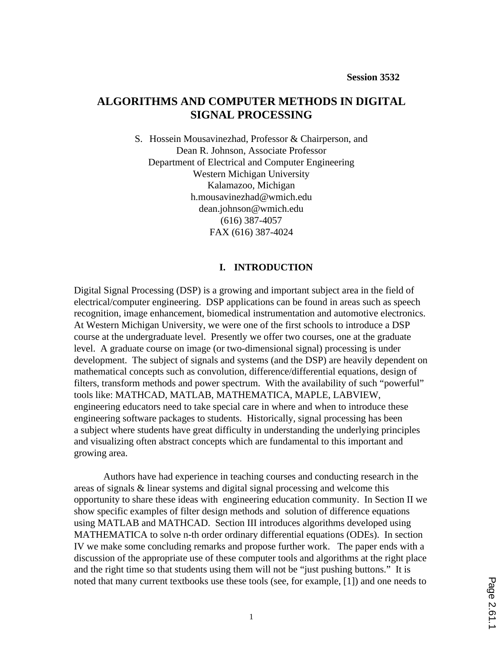# **ALGORITHMS AND COMPUTER METHODS IN DIGITAL SIGNAL PROCESSING**

S. Hossein Mousavinezhad, Professor & Chairperson, and Dean R. Johnson, Associate Professor Department of Electrical and Computer Engineering Western Michigan University Kalamazoo, Michigan h.mousavinezhad@wmich.edu dean.johnson@wmich.edu (616) 387-4057 FAX (616) 387-4024

### **I. INTRODUCTION**

Digital Signal Processing (DSP) is a growing and important subject area in the field of electrical/computer engineering. DSP applications can be found in areas such as speech recognition, image enhancement, biomedical instrumentation and automotive electronics. At Western Michigan University, we were one of the first schools to introduce a DSP course at the undergraduate level. Presently we offer two courses, one at the graduate level. A graduate course on image (or two-dimensional signal) processing is under development. The subject of signals and systems (and the DSP) are heavily dependent on mathematical concepts such as convolution, difference/differential equations, design of filters, transform methods and power spectrum. With the availability of such "powerful" tools like: MATHCAD, MATLAB, MATHEMATICA, MAPLE, LABVIEW, engineering educators need to take special care in where and when to introduce these engineering software packages to students. Historically, signal processing has been a subject where students have great difficulty in understanding the underlying principles and visualizing often abstract concepts which are fundamental to this important and growing area.

Authors have had experience in teaching courses and conducting research in the areas of signals & linear systems and digital signal processing and welcome this opportunity to share these ideas with engineering education community. In Section II we show specific examples of filter design methods and solution of difference equations using MATLAB and MATHCAD. Section III introduces algorithms developed using MATHEMATICA to solve n-th order ordinary differential equations (ODEs). In section IV we make some concluding remarks and propose further work. The paper ends with a discussion of the appropriate use of these computer tools and algorithms at the right place and the right time so that students using them will not be "just pushing buttons." It is noted that many current textbooks use these tools (see, for example, [1]) and one needs to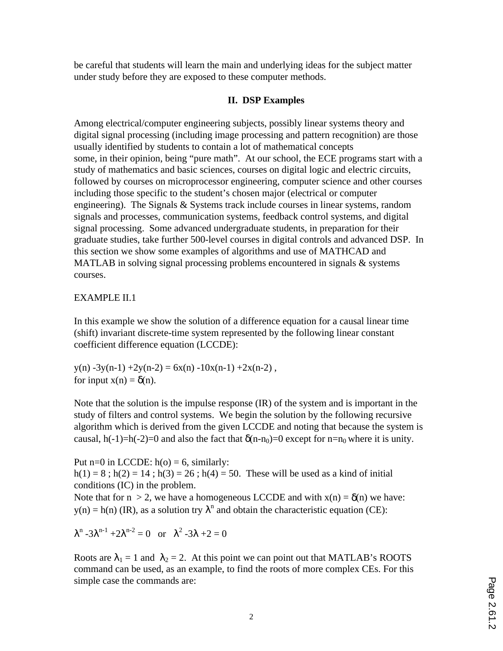be careful that students will learn the main and underlying ideas for the subject matter under study before they are exposed to these computer methods.

## **II. DSP Examples**

Among electrical/computer engineering subjects, possibly linear systems theory and digital signal processing (including image processing and pattern recognition) are those usually identified by students to contain a lot of mathematical concepts some, in their opinion, being "pure math". At our school, the ECE programs start with a study of mathematics and basic sciences, courses on digital logic and electric circuits, followed by courses on microprocessor engineering, computer science and other courses including those specific to the student's chosen major (electrical or computer engineering). The Signals  $&$  Systems track include courses in linear systems, random signals and processes, communication systems, feedback control systems, and digital signal processing. Some advanced undergraduate students, in preparation for their graduate studies, take further 500-level courses in digital controls and advanced DSP. In this section we show some examples of algorithms and use of MATHCAD and MATLAB in solving signal processing problems encountered in signals  $\&$  systems courses.

## EXAMPLE II.1

In this example we show the solution of a difference equation for a causal linear time (shift) invariant discrete-time system represented by the following linear constant coefficient difference equation (LCCDE):

 $y(n) -3y(n-1) +2y(n-2) = 6x(n) -10x(n-1) +2x(n-2)$ , for input  $x(n) = \delta(n)$ .

Note that the solution is the impulse response (IR) of the system and is important in the study of filters and control systems. We begin the solution by the following recursive algorithm which is derived from the given LCCDE and noting that because the system is causal, h(-1)=h(-2)=0 and also the fact that  $\delta(n-n_0)=0$  except for  $n=n_0$  where it is unity.

Put  $n=0$  in LCCDE:  $h(o) = 6$ , similarly:  $h(1) = 8$ ;  $h(2) = 14$ ;  $h(3) = 26$ ;  $h(4) = 50$ . These will be used as a kind of initial conditions (IC) in the problem.

Note that for  $n > 2$ , we have a homogeneous LCCDE and with  $x(n) = \delta(n)$  we have:  $y(n) = h(n)$  (IR), as a solution try  $\lambda^n$  and obtain the characteristic equation (CE):

 $λ^n - 3λ^{n-1} + 2λ^{n-2} = 0$  or  $λ^2 - 3λ + 2 = 0$ 

Roots are  $\lambda_1 = 1$  and  $\lambda_2 = 2$ . At this point we can point out that MATLAB's ROOTS command can be used, as an example, to find the roots of more complex CEs. For this simple case the commands are: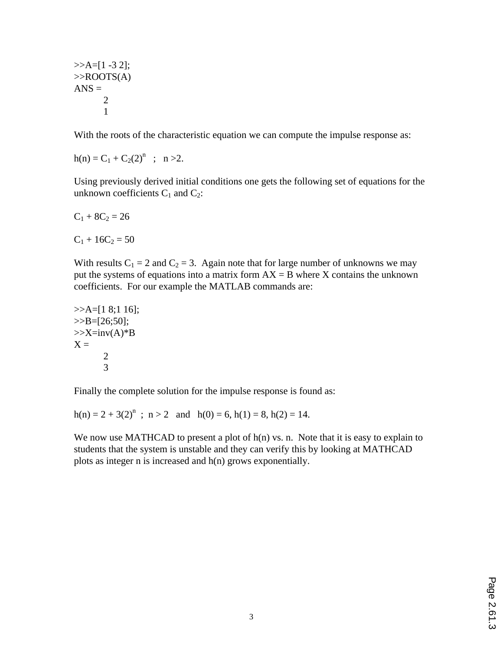$>>A=[1 -3 2];$  $>>$ ROOTS(A)  $ANS =$ 2 1

With the roots of the characteristic equation we can compute the impulse response as:

 $h(n) = C_1 + C_2(2)^n$ ;  $n > 2$ .

Using previously derived initial conditions one gets the following set of equations for the unknown coefficients  $C_1$  and  $C_2$ :

$$
C_1+8C_2=26
$$

 $C_1 + 16C_2 = 50$ 

With results  $C_1 = 2$  and  $C_2 = 3$ . Again note that for large number of unknowns we may put the systems of equations into a matrix form  $AX = B$  where X contains the unknown coefficients. For our example the MATLAB commands are:

>>A=[1 8;1 16]; >>B=[26;50]; >>X=inv(A)\*B X = 2 3

Finally the complete solution for the impulse response is found as:

 $h(n) = 2 + 3(2)^n$ ;  $n > 2$  and  $h(0) = 6$ ,  $h(1) = 8$ ,  $h(2) = 14$ .

We now use MATHCAD to present a plot of  $h(n)$  vs. n. Note that it is easy to explain to students that the system is unstable and they can verify this by looking at MATHCAD plots as integer n is increased and h(n) grows exponentially.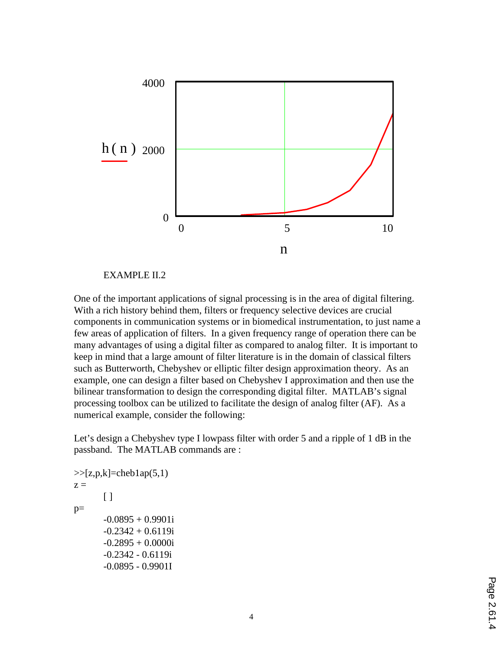

### EXAMPLE II.2

One of the important applications of signal processing is in the area of digital filtering. With a rich history behind them, filters or frequency selective devices are crucial components in communication systems or in biomedical instrumentation, to just name a few areas of application of filters. In a given frequency range of operation there can be many advantages of using a digital filter as compared to analog filter. It is important to keep in mind that a large amount of filter literature is in the domain of classical filters such as Butterworth, Chebyshev or elliptic filter design approximation theory. As an example, one can design a filter based on Chebyshev I approximation and then use the bilinear transformation to design the corresponding digital filter. MATLAB's signal processing toolbox can be utilized to facilitate the design of analog filter (AF). As a numerical example, consider the following:

Let's design a Chebyshev type I lowpass filter with order 5 and a ripple of 1 dB in the passband. The MATLAB commands are :

```
>>[z,p,k]=cheb1ap(5,1)z =[ ]
p=-0.0895 + 0.9901i-0.2342 + 0.6119i
       -0.2895 + 0.0000i-0.2342 - 0.6119i
       -0.0895 - 0.9901I
```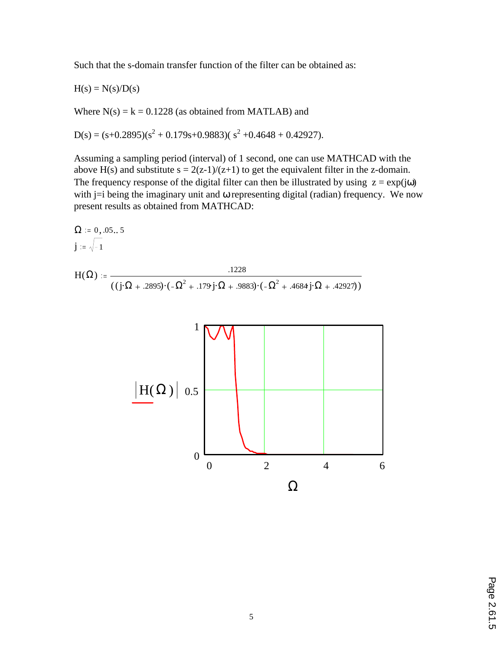Such that the s-domain transfer function of the filter can be obtained as:

 $H(s) = N(s)/D(s)$ 

Where  $N(s) = k = 0.1228$  (as obtained from MATLAB) and

 $D(s) = (s+0.2895)(s^2 + 0.179s+0.9883)(s^2 + 0.4648 + 0.42927).$ 

Assuming a sampling period (interval) of 1 second, one can use MATHCAD with the above H(s) and substitute  $s = 2(z-1)/(z+1)$  to get the equivalent filter in the z-domain. The frequency response of the digital filter can then be illustrated by using  $z = exp(j\omega)$ with j=i being the imaginary unit and  $\omega$  representing digital (radian) frequency. We now present results as obtained from MATHCAD:

$$
\Omega := 0, .05..5
$$
\n
$$
j := \sqrt{-1}
$$
\n
$$
H(\Omega) := \frac{.1228}{((j \cdot \Omega + .2895) \cdot (-\Omega^{2} + .179j \cdot \Omega + .9883) \cdot (-\Omega^{2} + .4684j \cdot \Omega + .42927))}
$$

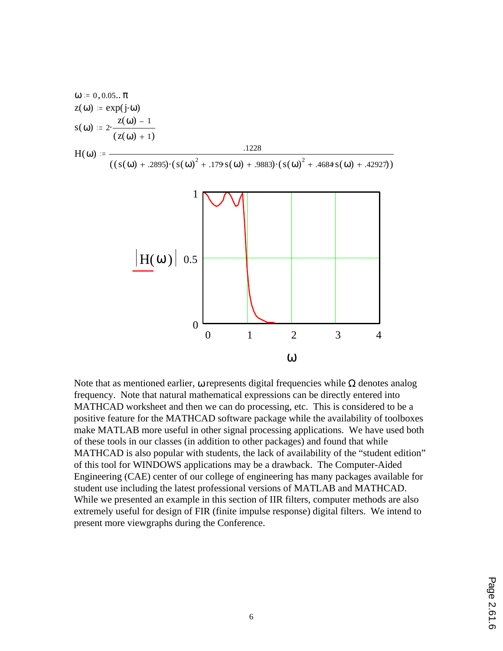$$
ω := 0,0.05..\pi
$$
  
\n
$$
z(ω) := exp(jω)
$$
  
\n
$$
s(ω) := 2 \cdot \frac{z(ω) - 1}{(z(ω) + 1)}
$$
  
\n
$$
H(ω) := \frac{.1228}{((s(ω) + .2895) \cdot (s(ω)^2 + .179 s(ω) + .9883) \cdot (s(ω)^2 + .4684 s(ω) + .42927))}
$$



Note that as mentioned earlier, ω represents digital frequencies while  $\Omega$  denotes analog frequency. Note that natural mathematical expressions can be directly entered into MATHCAD worksheet and then we can do processing, etc. This is considered to be a positive feature for the MATHCAD software package while the availability of toolboxes make MATLAB more useful in other signal processing applications. We have used both of these tools in our classes (in addition to other packages) and found that while MATHCAD is also popular with students, the lack of availability of the "student edition" of this tool for WINDOWS applications may be a drawback. The Computer-Aided Engineering (CAE) center of our college of engineering has many packages available for student use including the latest professional versions of MATLAB and MATHCAD. While we presented an example in this section of IIR filters, computer methods are also extremely useful for design of FIR (finite impulse response) digital filters. We intend to present more viewgraphs during the Conference.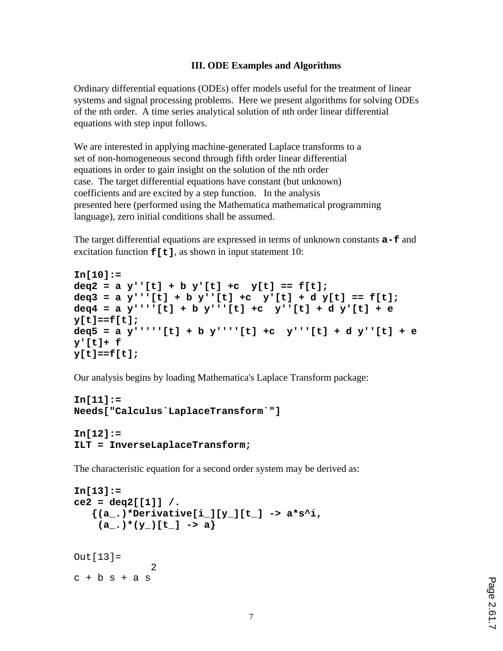## **III. ODE Examples and Algorithms**

Ordinary differential equations (ODEs) offer models useful for the treatment of linear systems and signal processing problems. Here we present algorithms for solving ODEs of the nth order. A time series analytical solution of nth order linear differential equations with step input follows.

We are interested in applying machine-generated Laplace transforms to a set of non-homogeneous second through fifth order linear differential equations in order to gain insight on the solution of the nth order case. The target differential equations have constant (but unknown) coefficients and are excited by a step function. In the analysis presented here (performed using the Mathematica mathematical programming language), zero initial conditions shall be assumed.

The target differential equations are expressed in terms of unknown constants **a-f** and excitation function  $f[t]$ , as shown in input statement 10:

```
In[10]:=
deq2 = a y''[t] + b y'[t] +c y[t] == f[t];
deq3 = a y'''[t] + b y''[t] +c y'[t] + d y[t] == f[t];
deq4 = a y''''[t] + b y'''[t] +c y''[t] + d y'[t] + e
y[t]==f[t];
deq5 = a y'''''[t] + b y''''[t] +c y'''[t] + d y''[t] + e
y'[t]+ f
y[t]==f[t];
```
Our analysis begins by loading Mathematica's Laplace Transform package:

```
In[11]:=
Needs["Calculus`LaplaceTransform`"]
```

```
In[12]:=
ILT = InverseLaplaceTransform;
```
The characteristic equation for a second order system may be derived as:

```
In[13]:=
ce2 = deg2[[1]] / . {(a_.)*Derivative[i_][y_][t_] -> a*s^i,
   (a_), * (y_-)[t_+] -> a
Out[13]=
 2
c + b s + a s
```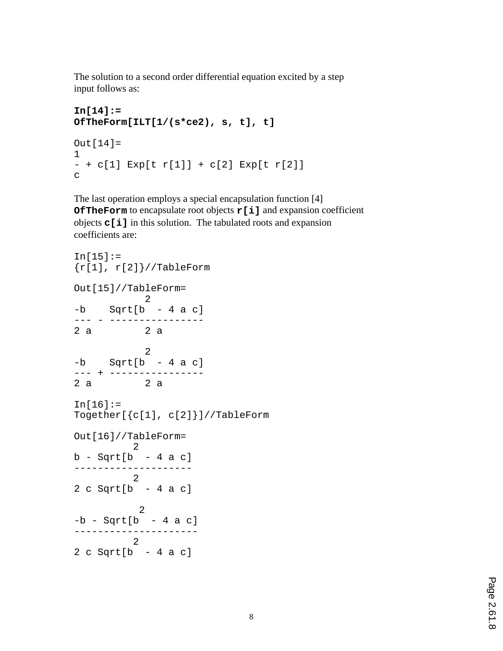The solution to a second order differential equation excited by a step input follows as:

```
In[14]:=
OfTheForm[ILT[1/(s*ce2), s, t], t]
Out[14] =1
- + c[1] Exp[t r[1]] + c[2] Exp[t r[2]]
c
```
The last operation employs a special encapsulation function [4] **OfTheForm** to encapsulate root objects **r[i]** and expansion coefficient objects **c[i]** in this solution. The tabulated roots and expansion coefficients are:

```
In[15]:=\{r[1], r[2]\}//TableForm
Out[15]//TableForm=
           2
-b Sqrt[b - 4 a c]--- - ----------------
      2 a 2 a
 2
-b Sqrt[b - 4 a c]--- + ----------------
2 a 2 a
In[16]:=Together[{c[1], c[2]}]//TableForm
Out[16]//TableForm=
         2
b - Sqrt[b - 4 a c]--------------------
         2
2 c Sqrt[b - 4 a c] 2
-b - Sqrt[b - 4 a c]---------------------
     2
2 c Sqrt[b - 4 a c]
```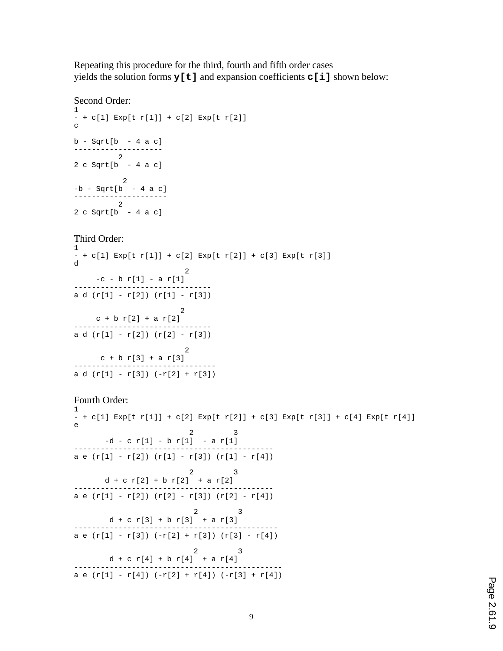Repeating this procedure for the third, fourth and fifth order cases yields the solution forms **y[t]** and expansion coefficients **c[i]** shown below:

### Second Order:

```
1
- + c[1] Exp[t r[1]] + c[2] Exp[t r[2]]
c
b - Sqrt[b - 4 a c]--------------------
      2
2 c Sqrt[b - 4 a c]
 2
-b - Sqrt[b - 4 a c]---------------------
 2
2 c Sqrt[b - 4 a c]
Third Order:
1
- + c[1] Exp[t r[1]] + c[2] Exp[t r[2]] + c[3] Exp[t r[3]]
d
 2
   -c - b r[1] - a r[1]-------------------------------
a d (r[1] - r[2]) (r[1] - r[3]) 2
  c + b r[2] + a r[2]-------------------------------
a d (r[1] - r[2]) (r[2] - r[3]) 2
    c + b r[3] + a r[3]--------------------------------
a d (r[1] - r[3]) (-r[2] + r[3])Fourth Order:
1
- + c[1] Exp[t r[1]] + c[2] Exp[t r[2]] + c[3] Exp[t r[3]] + c[4] Exp[t r[4]]
```

```
e
2 3
    -d - c r[1] - b r[1] - a r[1]---------------------------------------------
a e (r[1] - r[2]) (r[1] - r[3]) (r[1] - r[4])2 3
     d + c r[2] + b r[2] + a r[2]---------------------------------------------
a e (r[1] - r[2]) (r[2] - r[3]) (r[2] - r[4])
2 3
d + c r[3] + b r[3] + a r[3]
     ----------------------------------------------
a e (r[1] - r[3]) (-r[2] + r[3]) (r[3] - r[4])2 3
  d + c r[4] + b r[4] + a r[4]-----------------------------------------------
a e (r[1] - r[4]) (-r[2] + r[4]) (-r[3] + r[4])
```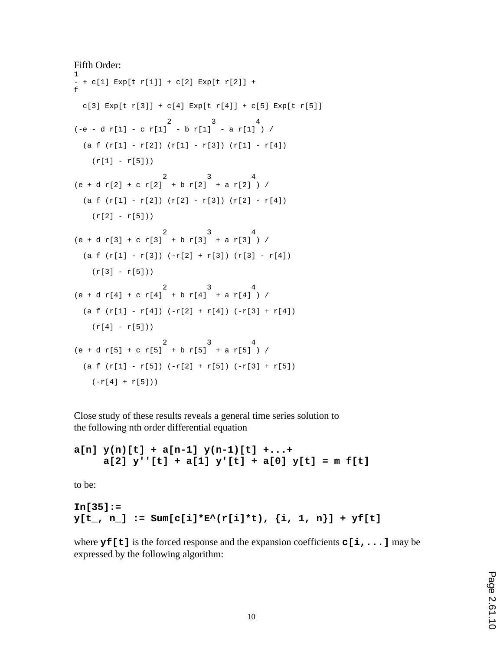```
Fifth Order:
1
- + c[1] Exp[t r[1]] + c[2] Exp[t r[2]] +
f
  c[3] Exp[t r[3]] + c[4] Exp[t r[4]] + c[5] Exp[t r[5]]
 2 3 4
(-e - d r[1] - c r[1] - b r[1] - a r[1] ) /(a f (r[1] - r[2]) (r[1] - r[3]) (r[1] - r[4])(r[1] - r[5])) 2 3 4
(e + d r[2] + c r[2] + b r[2] + a r[2]) /(a f (r[1] - r[2]) (r[2] - r[3]) (r[2] - r[4])(r[2] - r[5])) 2 3 4
(e + d r[3] + c r[3] + b r[3] + a r[3]) /(a f (r[1] - r[3]) (-r[2] + r[3]) (r[3] - r[4])(r[3] - r[5])) 2 3 4
(e + d r[4] + c r[4] + b r[4] + a r[4]) /(a f (r[1] - r[4]) (-r[2] + r[4]) (-r[3] + r[4])(r[4] - r[5])) 2 3 4
(e + d r[5] + c r[5] + b r[5] + a r[5]) /
 (a f (r[1] - r[5]) (-r[2] + r[5]) (-r[3] + r[5])(-r[4] + r[5]))
```
Close study of these results reveals a general time series solution to the following nth order differential equation

**a[n] y(n)[t] + a[n-1] y(n-1)[t] +...+ a[2] y''[t] + a[1] y'[t] + a[0] y[t] = m f[t]**

to be:

```
In[35]:=
y[t_, n<sub>1</sub> := Sum[c[i]*E^(r[i]*t), \{i, 1, n\}] + yf[t]
```
where **y**f[t] is the forced response and the expansion coefficients **c**[i,...] may be expressed by the following algorithm: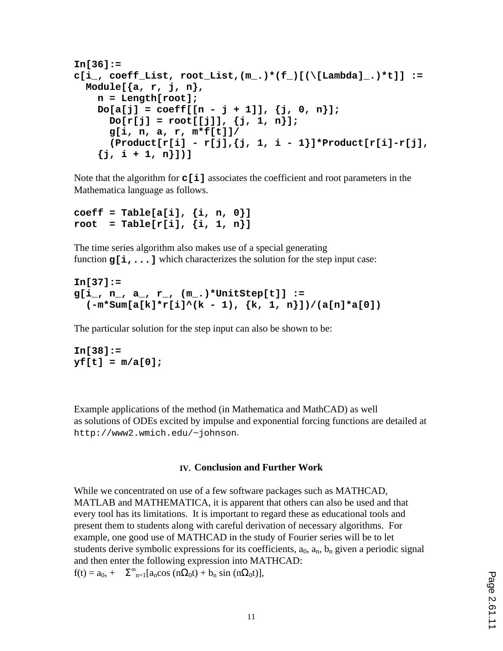```
In[36]:=
c[i_, coeff_List, root_List,(m_.)*(f_)[(\[Lambda]_.)*t]] :=
  Module[{a, r, j, n},
     n = Length[root];
    Do[a[j] = coeff([n - j + 1]), \{j, 0, n\}];Do[r[j] = root[[j]], {j, 1, n}]; g[i, n, a, r, m*f[t]]/
       (Product[r[i] - r[j],{j, 1, i - 1}]*Product[r[i]-r[j],
     {j, i + 1, n}])]
```
Note that the algorithm for **c[i]** associates the coefficient and root parameters in the Mathematica language as follows.

```
coeff = Table[a[i], {i, n, 0}]
root = Table[r[i], {i, 1, n}]
```
The time series algorithm also makes use of a special generating function  $g[i, \ldots]$  which characterizes the solution for the step input case:

```
In[37]:=
g[i_, n_, a_, r_, (m_.)*UnitStep[t]] :=
  (-m*Sum[a[k]*r[i]^(k - 1), {k, 1, n}])/(a[n]*a[0])
```
The particular solution for the step input can also be shown to be:

**In[38]:= yf[t] = m/a[0];**

Example applications of the method (in Mathematica and MathCAD) as well as solutions of ODEs excited by impulse and exponential forcing functions are detailed at http://www2.wmich.edu/~johnson.

### **IV. Conclusion and Further Work**

While we concentrated on use of a few software packages such as MATHCAD, MATLAB and MATHEMATICA, it is apparent that others can also be used and that every tool has its limitations. It is important to regard these as educational tools and present them to students along with careful derivation of necessary algorithms. For example, one good use of MATHCAD in the study of Fourier series will be to let students derive symbolic expressions for its coefficients,  $a_0$ ,  $a_n$ ,  $b_n$  given a periodic signal and then enter the following expression into MATHCAD:  $f(t) = a_0$ , +  $\Sigma_{n=1}^{\infty} [a_n \cos (n\Omega_0 t) + b_n \sin (n\Omega_0 t)],$